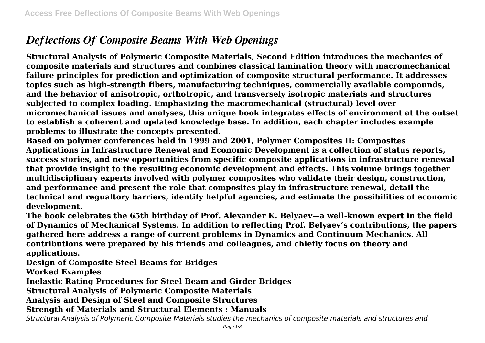# *Deflections Of Composite Beams With Web Openings*

**Structural Analysis of Polymeric Composite Materials, Second Edition introduces the mechanics of composite materials and structures and combines classical lamination theory with macromechanical failure principles for prediction and optimization of composite structural performance. It addresses topics such as high-strength fibers, manufacturing techniques, commercially available compounds, and the behavior of anisotropic, orthotropic, and transversely isotropic materials and structures subjected to complex loading. Emphasizing the macromechanical (structural) level over micromechanical issues and analyses, this unique book integrates effects of environment at the outset to establish a coherent and updated knowledge base. In addition, each chapter includes example problems to illustrate the concepts presented.**

**Based on polymer conferences held in 1999 and 2001, Polymer Composites II: Composites Applications in Infrastructure Renewal and Economic Development is a collection of status reports, success stories, and new opportunities from specific composite applications in infrastructure renewal that provide insight to the resulting economic development and effects. This volume brings together multidisciplinary experts involved with polymer composites who validate their design, construction, and performance and present the role that composites play in infrastructure renewal, detail the technical and regualtory barriers, identify helpful agencies, and estimate the possibilities of economic development.**

**The book celebrates the 65th birthday of Prof. Alexander K. Belyaev—a well-known expert in the field of Dynamics of Mechanical Systems. In addition to reflecting Prof. Belyaev's contributions, the papers gathered here address a range of current problems in Dynamics and Continuum Mechanics. All contributions were prepared by his friends and colleagues, and chiefly focus on theory and applications.**

**Design of Composite Steel Beams for Bridges**

**Worked Examples**

**Inelastic Rating Procedures for Steel Beam and Girder Bridges**

**Structural Analysis of Polymeric Composite Materials**

**Analysis and Design of Steel and Composite Structures**

**Strength of Materials and Structural Elements : Manuals**

*Structural Analysis of Polymeric Composite Materials studies the mechanics of composite materials and structures and*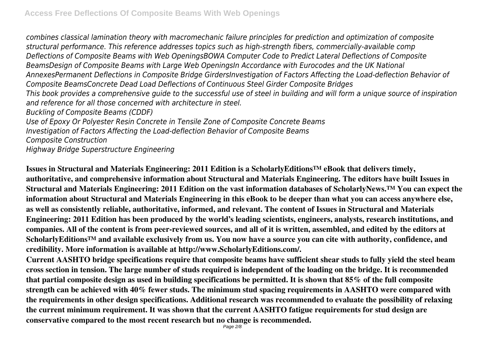*combines classical lamination theory with macromechanic failure principles for prediction and optimization of composite structural performance. This reference addresses topics such as high-strength fibers, commercially-available comp Deflections of Composite Beams with Web OpeningsBOWA Computer Code to Predict Lateral Deflections of Composite BeamsDesign of Composite Beams with Large Web OpeningsIn Accordance with Eurocodes and the UK National AnnexesPermanent Deflections in Composite Bridge GirdersInvestigation of Factors Affecting the Load-deflection Behavior of Composite BeamsConcrete Dead Load Deflections of Continuous Steel Girder Composite Bridges This book provides a comprehensive guide to the successful use of steel in building and will form a unique source of inspiration and reference for all those concerned with architecture in steel. Buckling of Composite Beams (CDDF) Use of Epoxy Or Polyester Resin Concrete in Tensile Zone of Composite Concrete Beams Investigation of Factors Affecting the Load-deflection Behavior of Composite Beams Composite Construction*

*Highway Bridge Superstructure Engineering*

**Issues in Structural and Materials Engineering: 2011 Edition is a ScholarlyEditions™ eBook that delivers timely, authoritative, and comprehensive information about Structural and Materials Engineering. The editors have built Issues in Structural and Materials Engineering: 2011 Edition on the vast information databases of ScholarlyNews.™ You can expect the information about Structural and Materials Engineering in this eBook to be deeper than what you can access anywhere else, as well as consistently reliable, authoritative, informed, and relevant. The content of Issues in Structural and Materials Engineering: 2011 Edition has been produced by the world's leading scientists, engineers, analysts, research institutions, and companies. All of the content is from peer-reviewed sources, and all of it is written, assembled, and edited by the editors at ScholarlyEditions™ and available exclusively from us. You now have a source you can cite with authority, confidence, and credibility. More information is available at http://www.ScholarlyEditions.com/.**

**Current AASHTO bridge specifications require that composite beams have sufficient shear studs to fully yield the steel beam cross section in tension. The large number of studs required is independent of the loading on the bridge. It is recommended that partial composite design as used in building specifications be permitted. It is shown that 85% of the full composite strength can be achieved with 40% fewer studs. The minimum stud spacing requirements in AASHTO were compared with the requirements in other design specifications. Additional research was recommended to evaluate the possibility of relaxing the current minimum requirement. It was shown that the current AASHTO fatigue requirements for stud design are conservative compared to the most recent research but no change is recommended.**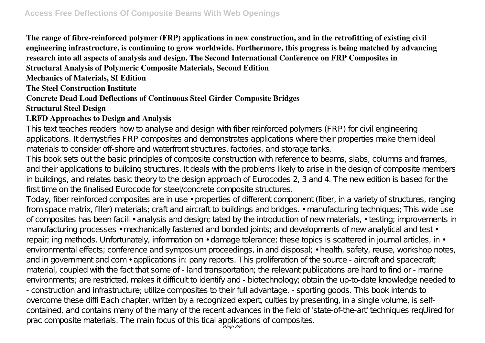**The range of fibre-reinforced polymer (FRP) applications in new construction, and in the retrofitting of existing civil engineering infrastructure, is continuing to grow worldwide. Furthermore, this progress is being matched by advancing research into all aspects of analysis and design. The Second International Conference on FRP Composites in Structural Analysis of Polymeric Composite Materials, Second Edition**

**Mechanics of Materials, SI Edition**

**The Steel Construction Institute**

## **Concrete Dead Load Deflections of Continuous Steel Girder Composite Bridges**

#### **Structural Steel Design**

### **LRFD Approaches to Design and Analysis**

This text teaches readers how to analyse and design with fiber reinforced polymers (FRP) for civil engineering applications. It demystifies FRP composites and demonstrates applications where their properties make them ideal materials to consider off-shore and waterfront structures, factories, and storage tanks.

This book sets out the basic principles of composite construction with reference to beams, slabs, columns and frames, and their applications to building structures. It deals with the problems likely to arise in the design of composite members in buildings, and relates basic theory to the design approach of Eurocodes 2, 3 and 4. The new edition is based for the first time on the finalised Eurocode for steel/concrete composite structures.

Today, fiber reinforced composites are in use • properties of different component (fiber, in a variety of structures, ranging from space matrix, filler) materials; craft and aircraft to buildings and bridges. • manufacturing techniques; This wide use of composites has been facili • analysis and design; tated by the introduction of new materials, • testing; improvements in manufacturing processes • mechanically fastened and bonded joints; and developments of new analytical and test • repair; ing methods. Unfortunately, information on • damage tolerance; these topics is scattered in journal articles, in • environmental effects; conference and symposium proceedings, in and disposal; • health, safety, reuse, workshop notes, and in government and com • applications in: pany reports. This proliferation of the source - aircraft and spacecraft; material, coupled with the fact that some of - land transportation; the relevant publications are hard to find or - marine environments; are restricted, makes it difficult to identify and - biotechnology; obtain the up-to-date knowledge needed to - construction and infrastructure; utilize composites to their full advantage. - sporting goods. This book intends to overcome these diffi Each chapter, written by a recognized expert, culties by presenting, in a single volume, is selfcontained, and contains many of the many of the recent advances in the field of 'state-of-the-art' techniques reqUired for prac composite materials. The main focus of this tical applications of composites.<br>Page 3/8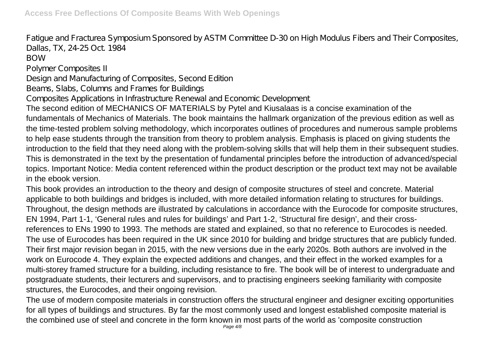Fatigue and Fracturea Symposium Sponsored by ASTM Committee D-30 on High Modulus Fibers and Their Composites, Dallas, TX, 24-25 Oct. 1984

BOW

Polymer Composites II

Design and Manufacturing of Composites, Second Edition

Beams, Slabs, Columns and Frames for Buildings

Composites Applications in Infrastructure Renewal and Economic Development

The second edition of MECHANICS OF MATERIALS by Pytel and Kiusalaas is a concise examination of the fundamentals of Mechanics of Materials. The book maintains the hallmark organization of the previous edition as well as the time-tested problem solving methodology, which incorporates outlines of procedures and numerous sample problems to help ease students through the transition from theory to problem analysis. Emphasis is placed on giving students the introduction to the field that they need along with the problem-solving skills that will help them in their subsequent studies. This is demonstrated in the text by the presentation of fundamental principles before the introduction of advanced/special topics. Important Notice: Media content referenced within the product description or the product text may not be available in the ebook version.

This book provides an introduction to the theory and design of composite structures of steel and concrete. Material applicable to both buildings and bridges is included, with more detailed information relating to structures for buildings. Throughout, the design methods are illustrated by calculations in accordance with the Eurocode for composite structures, EN 1994, Part 1-1, 'General rules and rules for buildings' and Part 1-2, 'Structural fire design', and their crossreferences to ENs 1990 to 1993. The methods are stated and explained, so that no reference to Eurocodes is needed. The use of Eurocodes has been required in the UK since 2010 for building and bridge structures that are publicly funded. Their first major revision began in 2015, with the new versions due in the early 2020s. Both authors are involved in the work on Eurocode 4. They explain the expected additions and changes, and their effect in the worked examples for a multi-storey framed structure for a building, including resistance to fire. The book will be of interest to undergraduate and postgraduate students, their lecturers and supervisors, and to practising engineers seeking familiarity with composite structures, the Eurocodes, and their ongoing revision.

The use of modern composite materials in construction offers the structural engineer and designer exciting opportunities for all types of buildings and structures. By far the most commonly used and longest established composite material is the combined use of steel and concrete in the form known in most parts of the world as 'composite construction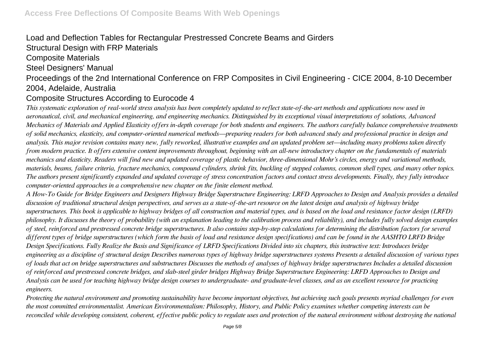## Load and Deflection Tables for Rectangular Prestressed Concrete Beams and Girders

Structural Design with FRP Materials

#### Composite Materials

#### Steel Designers' Manual

## Proceedings of the 2nd International Conference on FRP Composites in Civil Engineering - CICE 2004, 8-10 December 2004, Adelaide, Australia

## Composite Structures According to Eurocode 4

*This systematic exploration of real-world stress analysis has been completely updated to reflect state-of-the-art methods and applications now used in aeronautical, civil, and mechanical engineering, and engineering mechanics. Distinguished by its exceptional visual interpretations of solutions, Advanced Mechanics of Materials and Applied Elasticity offers in-depth coverage for both students and engineers. The authors carefully balance comprehensive treatments of solid mechanics, elasticity, and computer-oriented numerical methods—preparing readers for both advanced study and professional practice in design and analysis. This major revision contains many new, fully reworked, illustrative examples and an updated problem set—including many problems taken directly from modern practice. It offers extensive content improvements throughout, beginning with an all-new introductory chapter on the fundamentals of materials mechanics and elasticity. Readers will find new and updated coverage of plastic behavior, three-dimensional Mohr's circles, energy and variational methods, materials, beams, failure criteria, fracture mechanics, compound cylinders, shrink fits, buckling of stepped columns, common shell types, and many other topics. The authors present significantly expanded and updated coverage of stress concentration factors and contact stress developments. Finally, they fully introduce computer-oriented approaches in a comprehensive new chapter on the finite element method.*

*A How-To Guide for Bridge Engineers and Designers Highway Bridge Superstructure Engineering: LRFD Approaches to Design and Analysis provides a detailed discussion of traditional structural design perspectives, and serves as a state-of-the-art resource on the latest design and analysis of highway bridge superstructures. This book is applicable to highway bridges of all construction and material types, and is based on the load and resistance factor design (LRFD) philosophy. It discusses the theory of probability (with an explanation leading to the calibration process and reliability), and includes fully solved design examples of steel, reinforced and prestressed concrete bridge superstructures. It also contains step-by-step calculations for determining the distribution factors for several different types of bridge superstructures (which form the basis of load and resistance design specifications) and can be found in the AASHTO LRFD Bridge Design Specifications. Fully Realize the Basis and Significance of LRFD Specifications Divided into six chapters, this instructive text: Introduces bridge engineering as a discipline of structural design Describes numerous types of highway bridge superstructures systems Presents a detailed discussion of various types of loads that act on bridge superstructures and substructures Discusses the methods of analyses of highway bridge superstructures Includes a detailed discussion of reinforced and prestressed concrete bridges, and slab-steel girder bridges Highway Bridge Superstructure Engineering: LRFD Approaches to Design and Analysis can be used for teaching highway bridge design courses to undergraduate- and graduate-level classes, and as an excellent resource for practicing engineers.*

*Protecting the natural environment and promoting sustainability have become important objectives, but achieving such goals presents myriad challenges for even the most committed environmentalist. American Environmentalism: Philosophy, History, and Public Policy examines whether competing interests can be reconciled while developing consistent, coherent, effective public policy to regulate uses and protection of the natural environment without destroying the national*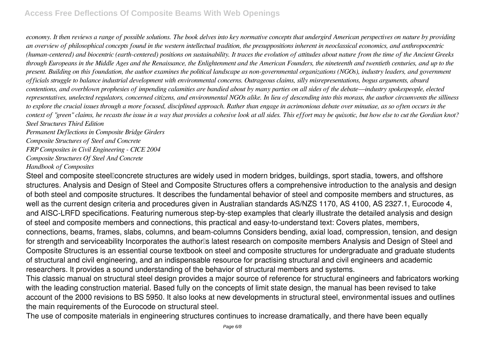*economy. It then reviews a range of possible solutions. The book delves into key normative concepts that undergird American perspectives on nature by providing an overview of philosophical concepts found in the western intellectual tradition, the presuppositions inherent in neoclassical economics, and anthropocentric (human-centered) and biocentric (earth-centered) positions on sustainability. It traces the evolution of attitudes about nature from the time of the Ancient Greeks through Europeans in the Middle Ages and the Renaissance, the Enlightenment and the American Founders, the nineteenth and twentieth centuries, and up to the present. Building on this foundation, the author examines the political landscape as non-governmental organizations (NGOs), industry leaders, and government officials struggle to balance industrial development with environmental concerns. Outrageous claims, silly misrepresentations, bogus arguments, absurd contentions, and overblown prophesies of impending calamities are bandied about by many parties on all sides of the debate—industry spokespeople, elected representatives, unelected regulators, concerned citizens, and environmental NGOs alike. In lieu of descending into this morass, the author circumvents the silliness to explore the crucial issues through a more focused, disciplined approach. Rather than engage in acrimonious debate over minutiae, as so often occurs in the context of "green" claims, he recasts the issue in a way that provides a cohesive look at all sides. This effort may be quixotic, but how else to cut the Gordian knot? Steel Structures Third Edition*

*Permanent Deflections in Composite Bridge Girders*

*Composite Structures of Steel and Concrete*

*FRP Composites in Civil Engineering - CICE 2004*

*Composite Structures Of Steel And Concrete*

*Handbook of Composites*

Steel and composite steel concrete structures are widely used in modern bridges, buildings, sport stadia, towers, and offshore structures. Analysis and Design of Steel and Composite Structures offers a comprehensive introduction to the analysis and design of both steel and composite structures. It describes the fundamental behavior of steel and composite members and structures, as well as the current design criteria and procedures given in Australian standards AS/NZS 1170, AS 4100, AS 2327.1, Eurocode 4, and AISC-LRFD specifications. Featuring numerous step-by-step examples that clearly illustrate the detailed analysis and design of steel and composite members and connections, this practical and easy-to-understand text: Covers plates, members, connections, beams, frames, slabs, columns, and beam-columns Considers bending, axial load, compression, tension, and design for strength and serviceability Incorporates the author<sup>'</sup>s latest research on composite members Analysis and Design of Steel and Composite Structures is an essential course textbook on steel and composite structures for undergraduate and graduate students of structural and civil engineering, and an indispensable resource for practising structural and civil engineers and academic researchers. It provides a sound understanding of the behavior of structural members and systems.

This classic manual on structural steel design provides a major source of reference for structural engineers and fabricators working with the leading construction material. Based fully on the concepts of limit state design, the manual has been revised to take account of the 2000 revisions to BS 5950. It also looks at new developments in structural steel, environmental issues and outlines the main requirements of the Eurocode on structural steel.

The use of composite materials in engineering structures continues to increase dramatically, and there have been equally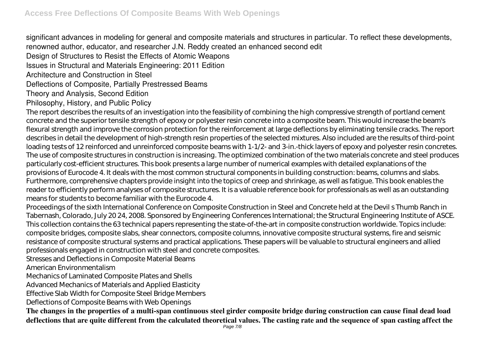significant advances in modeling for general and composite materials and structures in particular. To reflect these developments, renowned author, educator, and researcher J.N. Reddy created an enhanced second edit

Design of Structures to Resist the Effects of Atomic Weapons

Issues in Structural and Materials Engineering: 2011 Edition

Architecture and Construction in Steel

Deflections of Composite, Partially Prestressed Beams

Theory and Analysis, Second Edition

Philosophy, History, and Public Policy

The report describes the results of an investigation into the feasibility of combining the high compressive strength of portland cement concrete and the superior tensile strength of epoxy or polyester resin concrete into a composite beam. This would increase the beam's flexural strength and improve the corrosion protection for the reinforcement at large deflections by eliminating tensile cracks. The report describes in detail the development of high-strength resin properties of the selected mixtures. Also included are the results of third-point loading tests of 12 reinforced and unreinforced composite beams with 1-1/2- and 3-in.-thick layers of epoxy and polyester resin concretes. The use of composite structures in construction is increasing. The optimized combination of the two materials concrete and steel produces particularly cost-efficient structures. This book presents a large number of numerical examples with detailed explanations of the provisions of Eurocode 4. It deals with the most common structural components in building construction: beams, columns and slabs. Furthermore, comprehensive chapters provide insight into the topics of creep and shrinkage, as well as fatigue. This book enables the reader to efficiently perform analyses of composite structures. It is a valuable reference book for professionals as well as an outstanding means for students to become familiar with the Eurocode 4.

Proceedings of the sixth International Conference on Composite Construction in Steel and Concrete held at the Devil s Thumb Ranch in Tabernash, Colorado, July 20 24, 2008. Sponsored by Engineering Conferences International; the Structural Engineering Institute of ASCE. This collection contains the 63 technical papers representing the state-of-the-art in composite construction worldwide. Topics include: composite bridges, composite slabs, shear connectors, composite columns, innovative composite structural systems, fire and seismic resistance of composite structural systems and practical applications. These papers will be valuable to structural engineers and allied professionals engaged in construction with steel and concrete composites.

Stresses and Deflections in Composite Material Beams

American Environmentalism

Mechanics of Laminated Composite Plates and Shells

Advanced Mechanics of Materials and Applied Elasticity

Effective Slab Width for Composite Steel Bridge Members

Deflections of Composite Beams with Web Openings

**The changes in the properties of a multi-span continuous steel girder composite bridge during construction can cause final dead load deflections that are quite different from the calculated theoretical values. The casting rate and the sequence of span casting affect the**